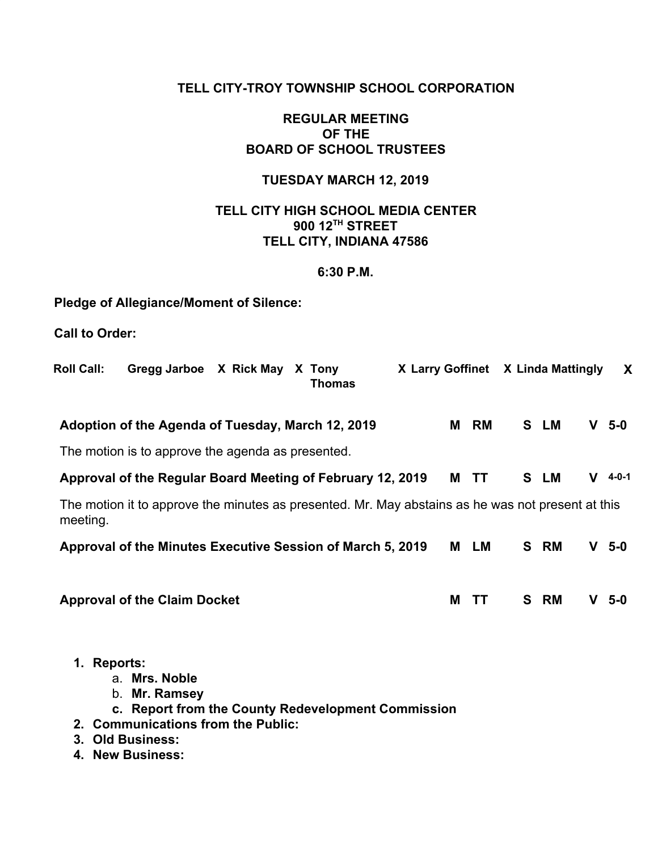### **TELL CITY-TROY TOWNSHIP SCHOOL CORPORATION**

### **REGULAR MEETING OF THE BOARD OF SCHOOL TRUSTEES**

### **TUESDAY MARCH 12, 2019**

### **TELL CITY HIGH SCHOOL MEDIA CENTER 900 12TH STREET TELL CITY, INDIANA 47586**

### **6:30 P.M.**

## **Pledge of Allegiance/Moment of Silence:**

**Call to Order:**

| <b>Roll Call:</b> | Gregg Jarboe X Rick May                                                                                    | X Tony<br><b>Thomas</b> | X Larry Goffinet X Linda Mattingly |   |           |      |   | X           |
|-------------------|------------------------------------------------------------------------------------------------------------|-------------------------|------------------------------------|---|-----------|------|---|-------------|
|                   | Adoption of the Agenda of Tuesday, March 12, 2019                                                          |                         |                                    | М | RM        | S LM | V | $5-0$       |
|                   | The motion is to approve the agenda as presented.                                                          |                         |                                    |   |           |      |   |             |
|                   | Approval of the Regular Board Meeting of February 12, 2019                                                 |                         |                                    | M | <b>TT</b> | S LM | V | $4 - 0 - 1$ |
| meeting.          | The motion it to approve the minutes as presented. Mr. May abstains as he was not present at this          |                         |                                    |   |           |      |   |             |
|                   | Approval of the Minutes Executive Session of March 5, 2019                                                 |                         |                                    | М | LM        | S RM | V | 5-0         |
|                   | <b>Approval of the Claim Docket</b>                                                                        |                         |                                    | M | TΤ        | S RM | V | $5-0$       |
| 1.                | <b>Reports:</b><br>a. Mrs. Noble<br>Mr. Ramsey<br>b.<br>c. Report from the County Redevelopment Commission |                         |                                    |   |           |      |   |             |

- **2. Communications from the Public:**
- **3. Old Business:**
- **4. New Business:**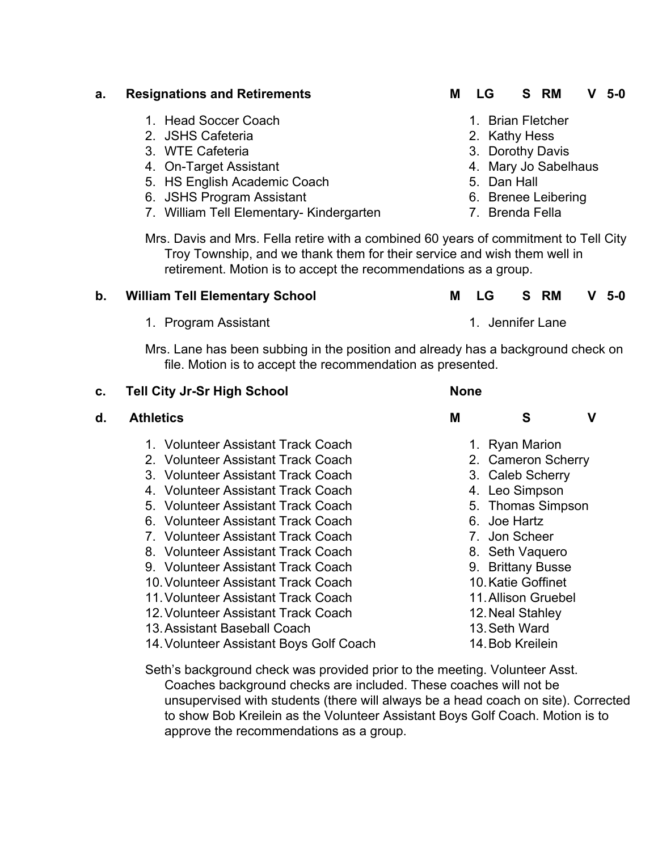|    | 1. Program Assistant                                                                                                                           | 1. Jennifer Lane                     |                     |   |
|----|------------------------------------------------------------------------------------------------------------------------------------------------|--------------------------------------|---------------------|---|
|    | Mrs. Lane has been subbing in the position and already has a background check on<br>file. Motion is to accept the recommendation as presented. |                                      |                     |   |
| C. | <b>Tell City Jr-Sr High School</b>                                                                                                             | <b>None</b>                          |                     |   |
| d. | <b>Athletics</b>                                                                                                                               | M                                    | S                   | V |
|    | 1. Volunteer Assistant Track Coach<br>2. Volunteer Assistant Track Coach                                                                       | 1. Ryan Marion                       | 2. Cameron Scherry  |   |
|    | 3. Volunteer Assistant Track Coach<br>4. Volunteer Assistant Track Coach                                                                       | 3. Caleb Scherry<br>4. Leo Simpson   |                     |   |
|    | 5. Volunteer Assistant Track Coach                                                                                                             |                                      | 5. Thomas Simpson   |   |
|    | 6. Volunteer Assistant Track Coach<br>7. Volunteer Assistant Track Coach                                                                       | 6. Joe Hartz<br>7. Jon Scheer        |                     |   |
|    | 8. Volunteer Assistant Track Coach<br>9. Volunteer Assistant Track Coach                                                                       | 8. Seth Vaquero<br>9. Brittany Busse |                     |   |
|    | 10. Volunteer Assistant Track Coach<br>11. Volunteer Assistant Track Coach                                                                     | 10. Katie Goffinet                   | 11. Allison Gruebel |   |
|    | 12. Volunteer Assistant Track Coach<br>13. Assistant Baseball Coach                                                                            | 12. Neal Stahley<br>13. Seth Ward    |                     |   |
|    | 14. Volunteer Assistant Boys Golf Coach                                                                                                        | 14. Bob Kreilein                     |                     |   |
|    |                                                                                                                                                |                                      |                     |   |

Mrs. Davis and Mrs. Fella retire with a combined 60 years of commitment to Tell City Troy Township, and we thank them for their service and wish them well in retirement. Motion is to accept the recommendations as a group.

7. William Tell Elementary- Kindergarten 7. Brenda Fella

**b. William Tell Elementary School M LG S RM V 5-0**

**a. Resignations and Retirements M LG S RM V 5-0**

- - 1. Head Soccer Coach
	- 2. JSHS Cafeteria
	- 3. WTE Cafeteria
	- 4. On-Target Assistant
	- 5. HS English Academic Coach
	- 6. JSHS Program Assistant

- 1. Brian Fletcher
- 2. Kathy Hess
- 3. Dorothy Davis
- 4. Mary Jo Sabelhaus
- 5. Dan Hall
- 
- -

- 
- 
- 
- 6. Brenee Leibering

Seth's background check was provided prior to the meeting. Volunteer Asst. Coaches background checks are included. These coaches will not be unsupervised with students (there will always be a head coach on site). Corrected to show Bob Kreilein as the Volunteer Assistant Boys Golf Coach. Motion is to approve the recommendations as a group.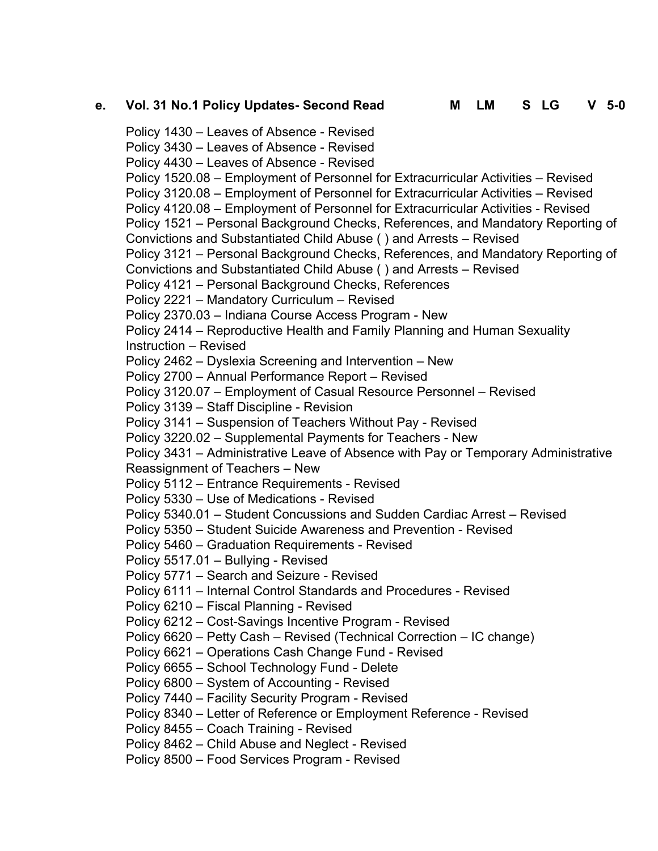## **e. Vol. 31 No.1 Policy Updates- Second Read M LM S LG V 5-0**

Policy 1430 – Leaves of Absence - Revised Policy 3430 – Leaves of Absence - Revised Policy 4430 – Leaves of Absence - Revised Policy 1520.08 – Employment of Personnel for Extracurricular Activities – Revised Policy 3120.08 – Employment of Personnel for Extracurricular Activities – Revised Policy 4120.08 – Employment of Personnel for Extracurricular Activities - Revised Policy 1521 – Personal Background Checks, References, and Mandatory Reporting of Convictions and Substantiated Child Abuse ( ) and Arrests – Revised Policy 3121 – Personal Background Checks, References, and Mandatory Reporting of Convictions and Substantiated Child Abuse ( ) and Arrests – Revised Policy 4121 – Personal Background Checks, References Policy 2221 – Mandatory Curriculum – Revised Policy 2370.03 – Indiana Course Access Program - New Policy 2414 – Reproductive Health and Family Planning and Human Sexuality Instruction – Revised Policy 2462 – Dyslexia Screening and Intervention – New Policy 2700 – Annual Performance Report – Revised Policy 3120.07 – Employment of Casual Resource Personnel – Revised Policy 3139 – Staff Discipline - Revision Policy 3141 – Suspension of Teachers Without Pay - Revised Policy 3220.02 – Supplemental Payments for Teachers - New Policy 3431 – Administrative Leave of Absence with Pay or Temporary Administrative Reassignment of Teachers – New Policy 5112 – Entrance Requirements - Revised Policy 5330 – Use of Medications - Revised Policy 5340.01 – Student Concussions and Sudden Cardiac Arrest – Revised Policy 5350 – Student Suicide Awareness and Prevention - Revised Policy 5460 – Graduation Requirements - Revised Policy 5517.01 – Bullying - Revised Policy 5771 – Search and Seizure - Revised Policy 6111 – Internal Control Standards and Procedures - Revised Policy 6210 – Fiscal Planning - Revised Policy 6212 – Cost-Savings Incentive Program - Revised Policy 6620 – Petty Cash – Revised (Technical Correction – IC change) Policy 6621 – Operations Cash Change Fund - Revised Policy 6655 – School Technology Fund - Delete Policy 6800 – System of Accounting - Revised Policy 7440 – Facility Security Program - Revised Policy 8340 – Letter of Reference or Employment Reference - Revised Policy 8455 – Coach Training - Revised Policy 8462 – Child Abuse and Neglect - Revised Policy 8500 – Food Services Program - Revised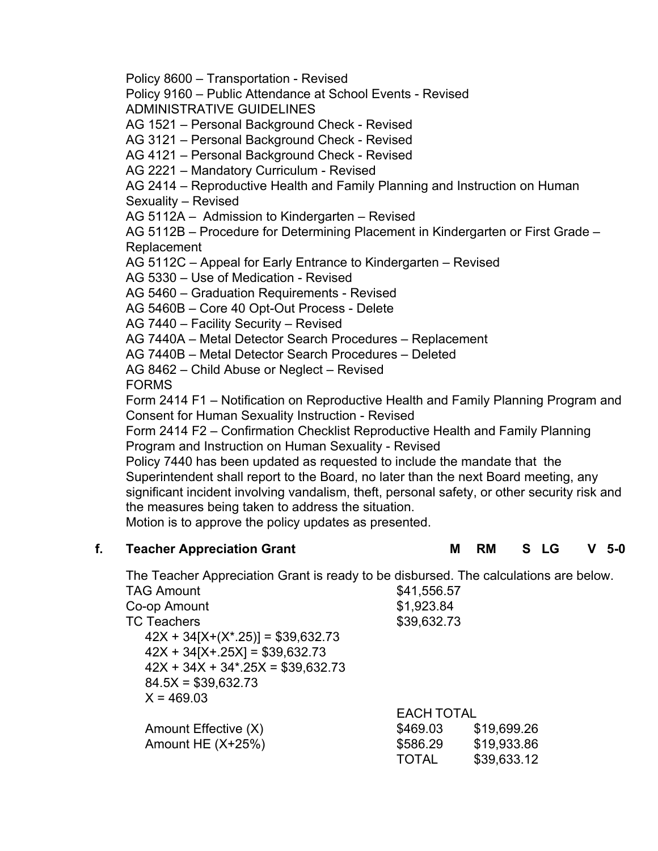Policy 8600 – Transportation - Revised

Policy 9160 – Public Attendance at School Events - Revised ADMINISTRATIVE GUIDELINES

AG 1521 – Personal Background Check - Revised

AG 3121 – Personal Background Check - Revised

AG 4121 – Personal Background Check - Revised

AG 2221 – Mandatory Curriculum - Revised

AG 2414 – Reproductive Health and Family Planning and Instruction on Human Sexuality – Revised

AG 5112A – Admission to Kindergarten – Revised

AG 5112B – Procedure for Determining Placement in Kindergarten or First Grade – Replacement

AG 5112C – Appeal for Early Entrance to Kindergarten – Revised

AG 5330 – Use of Medication - Revised

AG 5460 – Graduation Requirements - Revised

AG 5460B – Core 40 Opt-Out Process - Delete

AG 7440 – Facility Security – Revised

AG 7440A – Metal Detector Search Procedures – Replacement

AG 7440B – Metal Detector Search Procedures – Deleted

AG 8462 – Child Abuse or Neglect – Revised

FORMS

Form 2414 F1 – Notification on Reproductive Health and Family Planning Program and Consent for Human Sexuality Instruction - Revised

Form 2414 F2 – Confirmation Checklist Reproductive Health and Family Planning Program and Instruction on Human Sexuality - Revised

Policy 7440 has been updated as requested to include the mandate that the Superintendent shall report to the Board, no later than the next Board meeting, any significant incident involving vandalism, theft, personal safety, or other security risk and the measures being taken to address the situation.

Motion is to approve the policy updates as presented.

### **f. Teacher Appreciation Grant M RM S LG V 5-0**

The Teacher Appreciation Grant is ready to be disbursed. The calculations are below.

| <b>TAG Amount</b>                         | \$41,556.57       |             |
|-------------------------------------------|-------------------|-------------|
| Co-op Amount                              | \$1,923.84        |             |
| <b>TC Teachers</b>                        | \$39,632.73       |             |
| $42X + 34[X+(X^* \cdot 25)] = $39,632.73$ |                   |             |
| $42X + 34[X + 25X] = $39,632.73$          |                   |             |
| $42X + 34X + 34$ * 25X = \$39,632.73      |                   |             |
| $84.5X = $39,632.73$                      |                   |             |
| $X = 469.03$                              |                   |             |
|                                           | <b>EACH TOTAL</b> |             |
| Amount Effective (X)                      | \$469.03          | \$19,699.26 |
| Amount HE $(X+25%)$                       | \$586.29          | \$19,933.86 |
|                                           | TOTAL             | \$39,633.12 |